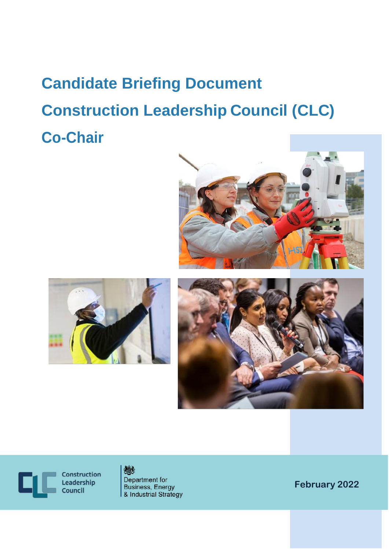# **Candidate Briefing Document Construction Leadership Council (CLC) Co-Chair**







Construction Leadership Council



Department for **Business, Energy** & Industrial Strategy

**February 2022**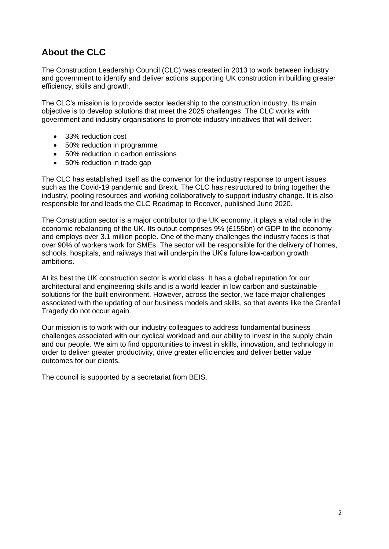## **About the CLC**

The Construction Leadership Council (CLC) was created in 2013 to work between industry and government to identify and deliver actions supporting UK construction in building greater efficiency, skills and growth.

The CLC's mission is to provide sector leadership to the construction industry. Its main objective is to develop solutions that meet the 2025 challenges. The CLC works with government and industry organisations to promote industry initiatives that will deliver:

- 33% reduction cost
- 50% reduction in programme
- 50% reduction in carbon emissions
- 50% reduction in trade gap

The CLC has established itself as the convenor for the industry response to urgent issues such as the Covid-19 pandemic and Brexit. The CLC has restructured to bring together the industry, pooling resources and working collaboratively to support industry change. It is also responsible for and leads the CLC Roadmap to Recover, published June 2020.

The Construction sector is a major contributor to the UK economy, it plays a vital role in the economic rebalancing of the UK. Its output comprises 9% (£155bn) of GDP to the economy and employs over 3.1 million people. One of the many challenges the industry faces is that over 90% of workers work for SMEs. The sector will be responsible for the delivery of homes, schools, hospitals, and railways that will underpin the UK's future low-carbon growth ambitions.

At its best the UK construction sector is world class. It has a global reputation for our architectural and engineering skills and is a world leader in low carbon and sustainable solutions for the built environment. However, across the sector, we face major challenges associated with the updating of our business models and skills, so that events like the Grenfell Tragedy do not occur again.

Our mission is to work with our industry colleagues to address fundamental business challenges associated with our cyclical workload and our ability to invest in the supply chain and our people. We aim to find opportunities to invest in skills, innovation, and technology in order to deliver greater productivity, drive greater efficiencies and deliver better value outcomes for our clients.

The council is supported by a secretariat from BEIS.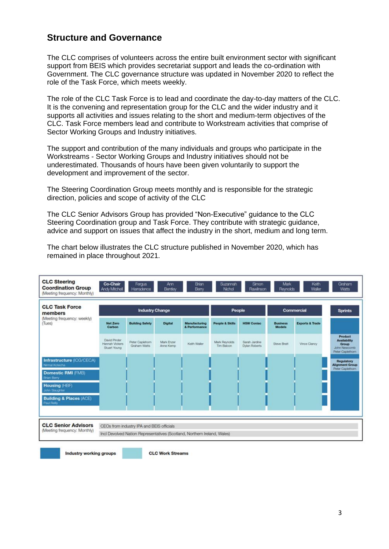### **Structure and Governance**

The CLC comprises of volunteers across the entire built environment sector with significant support from BEIS which provides secretariat support and leads the co-ordination with Government. The CLC governance structure was updated in November 2020 to reflect the role of the Task Force, which meets weekly.

The role of the CLC Task Force is to lead and coordinate the day-to-day matters of the CLC. It is the convening and representation group for the CLC and the wider industry and it supports all activities and issues relating to the short and medium-term objectives of the CLC. Task Force members lead and contribute to Workstream activities that comprise of Sector Working Groups and Industry initiatives.

The support and contribution of the many individuals and groups who participate in the Workstreams - Sector Working Groups and Industry initiatives should not be underestimated. Thousands of hours have been given voluntarily to support the development and improvement of the sector.

The Steering Coordination Group meets monthly and is responsible for the strategic direction, policies and scope of activity of the CLC

The CLC Senior Advisors Group has provided "Non-Executive" guidance to the CLC Steering Coordination group and Task Force. They contribute with strategic guidance, advice and support on issues that affect the industry in the short, medium and long term.

| <b>CLC Steering</b><br><b>Coordination Group</b><br>(Meeting frequency: Monthly)            | Co-Chair<br>Andy Mitchell                      | <b>Fergus</b><br>Harradence               | Ann<br>Bentley           | Brian<br>Berry                                                           | Suzannah<br>Nichol          | Simon<br>Rawinson              | Mark<br><b>Reynolds</b>          | Keith<br>Waller            | Graham<br>Watts                                                             |
|---------------------------------------------------------------------------------------------|------------------------------------------------|-------------------------------------------|--------------------------|--------------------------------------------------------------------------|-----------------------------|--------------------------------|----------------------------------|----------------------------|-----------------------------------------------------------------------------|
| <b>CLC Task Force</b><br>members<br>(Meeting frequency: weekly)<br>(Tues)                   | <b>Industry Change</b>                         |                                           |                          |                                                                          | People                      |                                | Commercial                       |                            | <b>Sprints</b>                                                              |
|                                                                                             | <b>Net Zero</b><br>Carbon                      | <b>Building Safety</b>                    | <b>Digital</b>           | Manufacturing<br>& Performance                                           | <b>People &amp; Skills</b>  | <b>HSW Coniac</b>              | <b>Business</b><br><b>Models</b> | <b>Exports &amp; Trade</b> |                                                                             |
|                                                                                             | David Pinder<br>Hannah Vickers<br>Stuart Young | Peter Caplehorn<br>Graham Watts           | Mark Enzer<br>Anne Kernp | Keith Waller                                                             | Mark Reynolds<br>Tim Balcon | Sarah Jardine<br>Dylan Roberts | Steve Bratt                      | Vince Clancy               | Product<br><b>Availability</b><br>Group<br>John Newcomb<br>Peter Caplethorn |
| Infrastructure (ICG/CECA)<br>Nimal Kotecha<br>Domestic RMI (FMB)<br><b>Brian Berry</b>      |                                                |                                           |                          |                                                                          |                             |                                |                                  |                            | Regulatory<br><b>Alignment Group</b><br>Peter Caplethorn                    |
| Housing (HBF)<br><b>John Slaughter</b><br><b>Building &amp; Places (ACE)</b><br>Paul Reilly |                                                |                                           |                          |                                                                          |                             |                                |                                  |                            |                                                                             |
| <b>CLC Senior Advisors</b><br>(Meeting frequency: Monthly)                                  |                                                | CEOs from industry IPA and BEIS officials |                          | Incl Devolved Nation Representatives (Scotland, Northern Ireland, Wales) |                             |                                |                                  |                            |                                                                             |

The chart below illustrates the CLC structure published in November 2020, which has remained in place throughout 2021.

Industry working groups

**CLC Work Streams**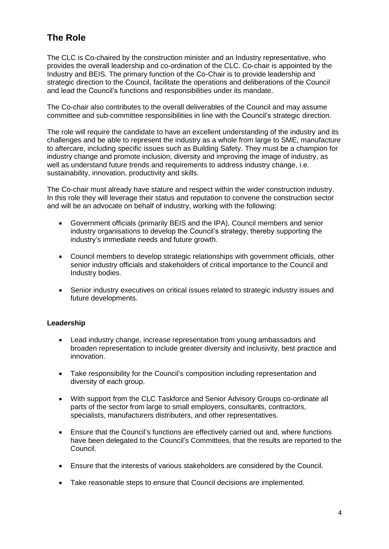## **The Role**

The CLC is Co-chaired by the construction minister and an Industry representative, who provides the overall leadership and co-ordination of the CLC. Co-chair is appointed by the Industry and BEIS. The primary function of the Co-Chair is to provide leadership and strategic direction to the Council, facilitate the operations and deliberations of the Council and lead the Council's functions and responsibilities under its mandate.

The Co-chair also contributes to the overall deliverables of the Council and may assume committee and sub-committee responsibilities in line with the Council's strategic direction.

The role will require the candidate to have an excellent understanding of the industry and its challenges and be able to represent the industry as a whole from large to SME, manufacture to aftercare, including specific issues such as Building Safety. They must be a champion for industry change and promote inclusion, diversity and improving the image of industry, as well as understand future trends and requirements to address industry change, i.e. sustainability, innovation, productivity and skills.

The Co-chair must already have stature and respect within the wider construction industry. In this role they will leverage their status and reputation to convene the construction sector and will be an advocate on behalf of industry, working with the following:

- Government officials (primarily BEIS and the IPA), Council members and senior industry organisations to develop the Council's strategy, thereby supporting the industry's immediate needs and future growth.
- Council members to develop strategic relationships with government officials, other senior industry officials and stakeholders of critical importance to the Council and Industry bodies.
- Senior industry executives on critical issues related to strategic industry issues and future developments.

#### **Leadership**

- Lead industry change, increase representation from young ambassadors and broaden representation to include greater diversity and inclusivity, best practice and innovation.
- Take responsibility for the Council's composition including representation and diversity of each group.
- With support from the CLC Taskforce and Senior Advisory Groups co-ordinate all parts of the sector from large to small employers, consultants, contractors, specialists, manufacturers distributers, and other representatives.
- Ensure that the Council's functions are effectively carried out and, where functions have been delegated to the Council's Committees, that the results are reported to the Council.
- Ensure that the interests of various stakeholders are considered by the Council.
- Take reasonable steps to ensure that Council decisions are implemented.